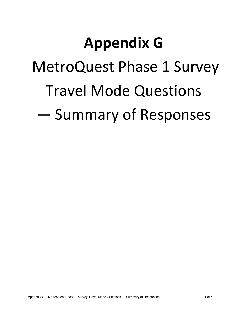# **Appendix G**

MetroQuest Phase 1 Survey

# Travel Mode Questions

— Summary of Responses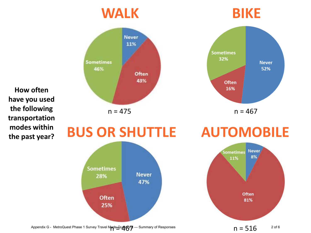

 $n = 516$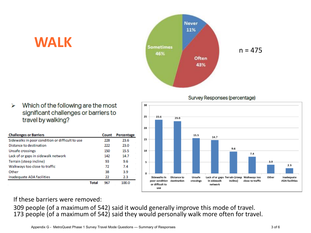

### **WALK**

#### ⋗ Which of the following are the most significant challenges or barriers to travel by walking?

| <b>Challenges or Barriers</b>                   |              | Count | Percentage |
|-------------------------------------------------|--------------|-------|------------|
| Sidewalks in poor condition or difficult to use |              | 228   | 23.6       |
| Distance to destination                         |              | 222   | 23.0       |
| Unsafe crossings                                |              | 150   | 15.5       |
| Lack of or gaps in sidewalk network             |              | 142   | 14.7       |
| Terrain (steep incline)                         |              | 93    | 9.6        |
| Walkways too close to traffic                   |              | 72    | 7.4        |
| Other                                           |              | 38    | 3.9        |
| Inadequate ADA facilities                       |              | 22    | 2.3        |
|                                                 | <b>Total</b> | 967   | 100.0      |

Survey Responses (percentage)



### If these barriers were removed:

309 people (of a maximum of 542) said it would generally improve this mode of travel. 173 people (of a maximum of 542) said they would personally walk more often for travel.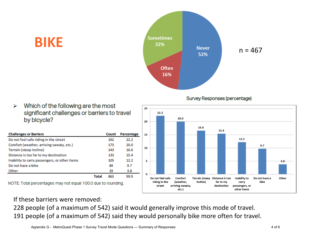





#### Which of the following are the most ⋗ significant challenges or barriers to travel by bicycle?

**BIKE** 

| <b>Challenges or Barriers</b>                 |              | Count | Percentage |
|-----------------------------------------------|--------------|-------|------------|
| Do not feel safe riding in the street         |              | 192   | 22.2       |
| Comfort (weather, arriving sweaty, etc.)      |              | 173   | 20.0       |
| Terrain (steep incline)                       |              | 143   | 16.6       |
| Distance is too far to my destination         |              | 133   | 15.4       |
| Inability to carry passengers, or other items |              | 105   | 12.2       |
| Do not have a bike                            |              | 84    | 9.7        |
| Other                                         |              | 33    | 3.8        |
|                                               | <b>Total</b> | 863   | 99.9       |

NOTE: Total percentages may not equal 100.0 due to rounding.

### If these barriers were removed:

228 people (of a maximum of 542) said it would generally improve this mode of travel. 191 people (of a maximum of 542) said they would personally bike more often for travel.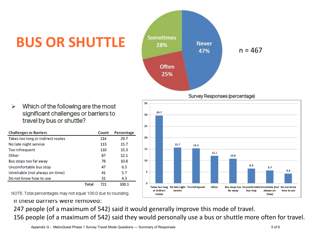## **BUS OR SHUTTLE**



Survey Responses (percentage)

Which of the following are the most significant challenges or barriers to travel by bus or shuttle?

| <b>Challenges or Barriers</b>     |       | Count | Percentage |
|-----------------------------------|-------|-------|------------|
| Takes too long or indirect routes |       | 214   | 29.7       |
| No late night service             |       | 113   | 15.7       |
| Too infrequent                    |       | 110   | 15.3       |
| Other                             |       | 87    | 12.1       |
| Bus stops too far away            |       | 78    | 10.8       |
| Uncomfortable bus stop            |       | 47    | 6.5        |
| Unreliable (not always on-time)   |       | 41    | 5.7        |
| Do not know how to use            |       | 31    | 4.3        |
|                                   | Total | 721   | 100.1      |

30 25 20 15.7 15.3 15 12.1 10.8 10 6.5  $5.7$  $4.3$ 5 o Takes too long No late night Too infrequent Other Bus stops too Uncomfortable Unreliable (not Do not know or indirect service far away bus stop always onhow to use time) routes

NOTE: Total percentages may not equal 100.0 due to rounding.

#### If these barriers were removed:

247 people (of a maximum of 542) said it would generally improve this mode of travel.

35

29.7

156 people (of a maximum of 542) said they would personally use a bus or shuttle more often for travel.